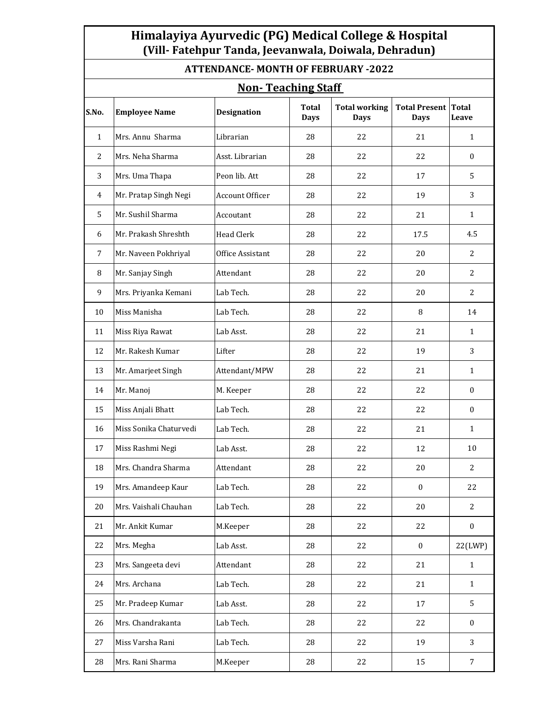## **Himalayiya Ayurvedic (PG) Medical College & Hospital (Vill- Fatehpur Tanda, Jeevanwala, Doiwala, Dehradun)**

| <b>ATTENDANCE- MONTH OF FEBRUARY -2022</b><br><b>Non-Teaching Staff</b> |                        |                  |    |    |                  |                  |  |  |  |  |  |
|-------------------------------------------------------------------------|------------------------|------------------|----|----|------------------|------------------|--|--|--|--|--|
|                                                                         |                        |                  |    |    |                  |                  |  |  |  |  |  |
| $\mathbf{1}$                                                            | Mrs. Annu Sharma       | Librarian        | 28 | 22 | 21               | $\mathbf{1}$     |  |  |  |  |  |
| 2                                                                       | Mrs. Neha Sharma       | Asst. Librarian  | 28 | 22 | 22               | $\Omega$         |  |  |  |  |  |
| 3                                                                       | Mrs. Uma Thapa         | Peon lib. Att    | 28 | 22 | 17               | 5                |  |  |  |  |  |
| 4                                                                       | Mr. Pratap Singh Negi  | Account Officer  | 28 | 22 | 19               | 3                |  |  |  |  |  |
| 5                                                                       | Mr. Sushil Sharma      | Accoutant        | 28 | 22 | 21               | $\mathbf{1}$     |  |  |  |  |  |
| 6                                                                       | Mr. Prakash Shreshth   | Head Clerk       | 28 | 22 | 17.5             | 4.5              |  |  |  |  |  |
| $\overline{7}$                                                          | Mr. Naveen Pokhriyal   | Office Assistant | 28 | 22 | 20               | 2                |  |  |  |  |  |
| 8                                                                       | Mr. Sanjay Singh       | Attendant        | 28 | 22 | 20               | $\overline{2}$   |  |  |  |  |  |
| 9                                                                       | Mrs. Priyanka Kemani   | Lab Tech.        | 28 | 22 | 20               | 2                |  |  |  |  |  |
| 10                                                                      | Miss Manisha           | Lab Tech.        | 28 | 22 | 8                | 14               |  |  |  |  |  |
| 11                                                                      | Miss Riya Rawat        | Lab Asst.        | 28 | 22 | 21               | $\mathbf{1}$     |  |  |  |  |  |
| 12                                                                      | Mr. Rakesh Kumar       | Lifter           | 28 | 22 | 19               | 3                |  |  |  |  |  |
| 13                                                                      | Mr. Amarjeet Singh     | Attendant/MPW    | 28 | 22 | 21               | $\mathbf{1}$     |  |  |  |  |  |
| 14                                                                      | Mr. Manoj              | M. Keeper        | 28 | 22 | 22               | $\mathbf{0}$     |  |  |  |  |  |
| 15                                                                      | Miss Anjali Bhatt      | Lab Tech.        | 28 | 22 | 22               | $\mathbf{0}$     |  |  |  |  |  |
| 16                                                                      | Miss Sonika Chaturvedi | Lab Tech.        | 28 | 22 | 21               | $\mathbf{1}$     |  |  |  |  |  |
| 17                                                                      | Miss Rashmi Negi       | Lab Asst.        | 28 | 22 | 12               | 10               |  |  |  |  |  |
| 18                                                                      | Mrs. Chandra Sharma    | Attendant        | 28 | 22 | 20               | $\overline{2}$   |  |  |  |  |  |
| 19                                                                      | Mrs. Amandeep Kaur     | Lab Tech.        | 28 | 22 | $\boldsymbol{0}$ | 22               |  |  |  |  |  |
| 20                                                                      | Mrs. Vaishali Chauhan  | Lab Tech.        | 28 | 22 | 20               | 2                |  |  |  |  |  |
| 21                                                                      | Mr. Ankit Kumar        | M.Keeper         | 28 | 22 | 22               | $\boldsymbol{0}$ |  |  |  |  |  |
| 22                                                                      | Mrs. Megha             | Lab Asst.        | 28 | 22 | $\bf{0}$         | 22(LWP)          |  |  |  |  |  |
| 23                                                                      | Mrs. Sangeeta devi     | Attendant        | 28 | 22 | 21               | $\mathbf{1}$     |  |  |  |  |  |
| 24                                                                      | Mrs. Archana           | Lab Tech.        | 28 | 22 | 21               | $\mathbf{1}$     |  |  |  |  |  |
| 25                                                                      | Mr. Pradeep Kumar      | Lab Asst.        | 28 | 22 | 17               | 5                |  |  |  |  |  |
| 26                                                                      | Mrs. Chandrakanta      | Lab Tech.        | 28 | 22 | 22               | $\boldsymbol{0}$ |  |  |  |  |  |
| 27                                                                      | Miss Varsha Rani       | Lab Tech.        | 28 | 22 | 19               | 3                |  |  |  |  |  |
| 28                                                                      | Mrs. Rani Sharma       | M.Keeper         | 28 | 22 | 15               | $\overline{7}$   |  |  |  |  |  |